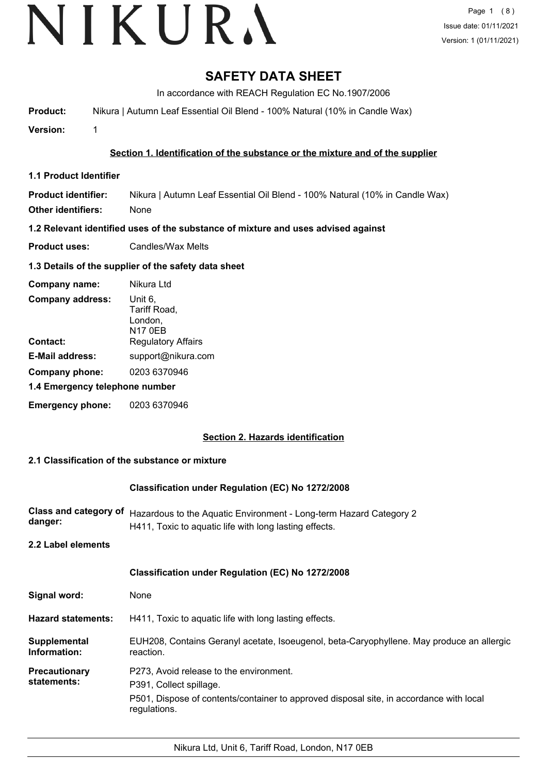# **SAFETY DATA SHEET**

In accordance with REACH Regulation EC No.1907/2006

**Product:** Nikura | Autumn Leaf Essential Oil Blend - 100% Natural (10% in Candle Wax)

**Version:** 1

### **Section 1. Identification of the substance or the mixture and of the supplier**

**1.1 Product Identifier**

**Product identifier:** Nikura | Autumn Leaf Essential Oil Blend - 100% Natural (10% in Candle Wax) **Other identifiers:** None

**1.2 Relevant identified uses of the substance of mixture and uses advised against**

**Product uses:** Candles/Wax Melts

#### **1.3 Details of the supplier of the safety data sheet**

| Company name:                  | Nikura Ltd                                           |  |
|--------------------------------|------------------------------------------------------|--|
| <b>Company address:</b>        | Unit 6.<br>Tariff Road,<br>London,<br><b>N17 0EB</b> |  |
| Contact:                       | <b>Regulatory Affairs</b>                            |  |
| <b>E-Mail address:</b>         | support@nikura.com                                   |  |
| Company phone:                 | 0203 6370946                                         |  |
| 1.4 Emergency telephone number |                                                      |  |
| <b>Emergency phone:</b>        | 0203 6370946                                         |  |

## **Section 2. Hazards identification**

#### **2.1 Classification of the substance or mixture**

#### **Classification under Regulation (EC) No 1272/2008**

|         | Class and category of Hazardous to the Aquatic Environment - Long-term Hazard Category 2 |
|---------|------------------------------------------------------------------------------------------|
| danger: | H411, Toxic to aquatic life with long lasting effects.                                   |

**2.2 Label elements**

|                              | Classification under Regulation (EC) No 1272/2008                                                                                                                             |
|------------------------------|-------------------------------------------------------------------------------------------------------------------------------------------------------------------------------|
| Signal word:                 | None                                                                                                                                                                          |
| <b>Hazard statements:</b>    | H411, Toxic to aquatic life with long lasting effects.                                                                                                                        |
| Supplemental<br>Information: | EUH208, Contains Geranyl acetate, Isoeugenol, beta-Caryophyllene. May produce an allergic<br>reaction.                                                                        |
| Precautionary<br>statements: | P273, Avoid release to the environment.<br>P391, Collect spillage.<br>P501, Dispose of contents/container to approved disposal site, in accordance with local<br>regulations. |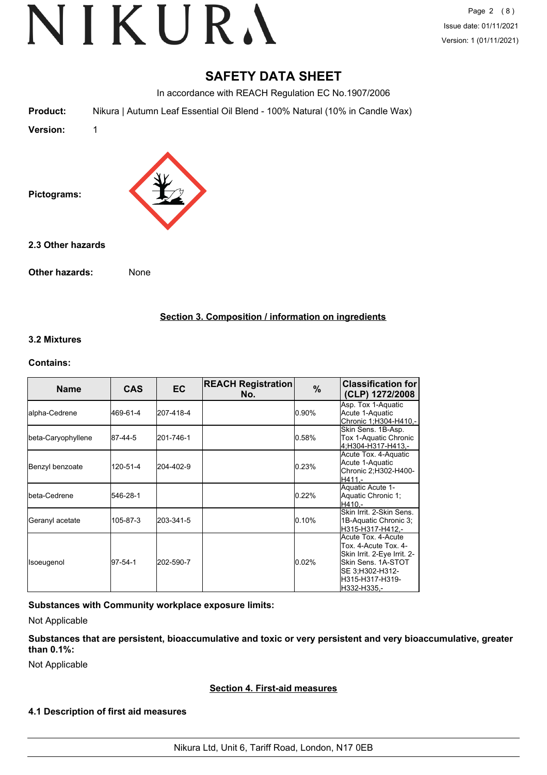Page 2 (8) Issue date: 01/11/2021 Version: 1 (01/11/2021)

## **SAFETY DATA SHEET**

In accordance with REACH Regulation EC No.1907/2006

**Product:** Nikura | Autumn Leaf Essential Oil Blend - 100% Natural (10% in Candle Wax)

**Version:** 1



**2.3 Other hazards**

**Other hazards:** None

**Section 3. Composition / information on ingredients**

#### **3.2 Mixtures**

#### **Contains:**

| <b>Name</b>            | <b>CAS</b>    | EC.       | <b>REACH Registration</b><br>No. | %     | <b>Classification for</b><br>(CLP) 1272/2008                                                                                                         |
|------------------------|---------------|-----------|----------------------------------|-------|------------------------------------------------------------------------------------------------------------------------------------------------------|
| lalpha-Cedrene         | 469-61-4      | 207-418-4 |                                  | 0.90% | Asp. Tox 1-Aquatic<br>Acute 1-Aquatic<br>Chronic 1;H304-H410,-                                                                                       |
| beta-Caryophyllene     | 87-44-5       | 201-746-1 |                                  | 0.58% | Skin Sens. 1B-Asp.<br>Tox 1-Aquatic Chronic<br>4:H304-H317-H413.-                                                                                    |
| Benzyl benzoate        | 120-51-4      | 204-402-9 |                                  | 0.23% | Acute Tox. 4-Aquatic<br>Acute 1-Aquatic<br>Chronic 2;H302-H400-<br>H411.-                                                                            |
| <b>I</b> beta-Cedrene  | 546-28-1      |           |                                  | 0.22% | Aquatic Acute 1-<br>Aquatic Chronic 1:<br>H410.-                                                                                                     |
| <b>Geranyl</b> acetate | 105-87-3      | 203-341-5 |                                  | 0.10% | Skin Irrit, 2-Skin Sens.<br>1B-Aquatic Chronic 3;<br>H315-H317-H412.-                                                                                |
| Isoeugenol             | $97 - 54 - 1$ | 202-590-7 |                                  | 0.02% | Acute Tox, 4-Acute<br>Tox. 4-Acute Tox. 4-<br>Skin Irrit. 2-Eye Irrit. 2-<br>Skin Sens. 1A-STOT<br>SE 3;H302-H312-<br>H315-H317-H319-<br>H332-H335,- |

**Substances with Community workplace exposure limits:**

Not Applicable

**Substances that are persistent, bioaccumulative and toxic or very persistent and very bioaccumulative, greater than 0.1%:**

Not Applicable

#### **Section 4. First-aid measures**

#### **4.1 Description of first aid measures**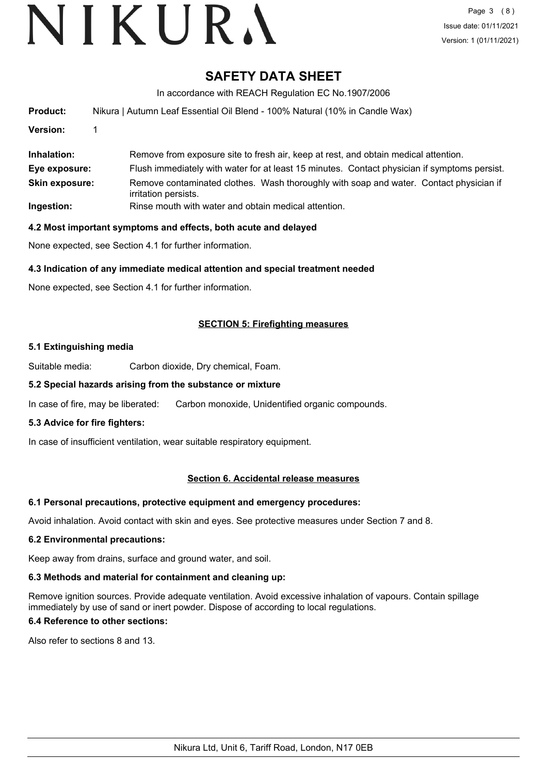## **SAFETY DATA SHEET**

In accordance with REACH Regulation EC No.1907/2006

| <b>Product:</b>       | Nikura   Autumn Leaf Essential Oil Blend - 100% Natural (10% in Candle Wax)                                    |
|-----------------------|----------------------------------------------------------------------------------------------------------------|
| Version:              |                                                                                                                |
| Inhalation:           | Remove from exposure site to fresh air, keep at rest, and obtain medical attention.                            |
| Eye exposure:         | Flush immediately with water for at least 15 minutes. Contact physician if symptoms persist.                   |
| <b>Skin exposure:</b> | Remove contaminated clothes. Wash thoroughly with soap and water. Contact physician if<br>irritation persists. |
| Ingestion:            | Rinse mouth with water and obtain medical attention.                                                           |

#### **4.2 Most important symptoms and effects, both acute and delayed**

None expected, see Section 4.1 for further information.

#### **4.3 Indication of any immediate medical attention and special treatment needed**

None expected, see Section 4.1 for further information.

#### **SECTION 5: Firefighting measures**

#### **5.1 Extinguishing media**

Suitable media: Carbon dioxide, Dry chemical, Foam.

#### **5.2 Special hazards arising from the substance or mixture**

In case of fire, may be liberated: Carbon monoxide, Unidentified organic compounds.

#### **5.3 Advice for fire fighters:**

In case of insufficient ventilation, wear suitable respiratory equipment.

#### **Section 6. Accidental release measures**

#### **6.1 Personal precautions, protective equipment and emergency procedures:**

Avoid inhalation. Avoid contact with skin and eyes. See protective measures under Section 7 and 8.

#### **6.2 Environmental precautions:**

Keep away from drains, surface and ground water, and soil.

#### **6.3 Methods and material for containment and cleaning up:**

Remove ignition sources. Provide adequate ventilation. Avoid excessive inhalation of vapours. Contain spillage immediately by use of sand or inert powder. Dispose of according to local regulations.

### **6.4 Reference to other sections:**

Also refer to sections 8 and 13.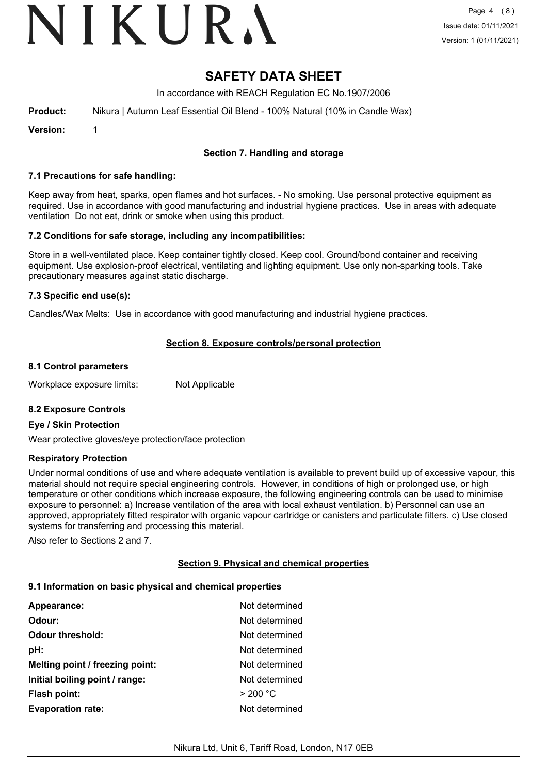# VIKURA

## **SAFETY DATA SHEET**

In accordance with REACH Regulation EC No.1907/2006

**Product:** Nikura | Autumn Leaf Essential Oil Blend - 100% Natural (10% in Candle Wax)

**Version:** 1

### **Section 7. Handling and storage**

#### **7.1 Precautions for safe handling:**

Keep away from heat, sparks, open flames and hot surfaces. - No smoking. Use personal protective equipment as required. Use in accordance with good manufacturing and industrial hygiene practices. Use in areas with adequate ventilation Do not eat, drink or smoke when using this product.

#### **7.2 Conditions for safe storage, including any incompatibilities:**

Store in a well-ventilated place. Keep container tightly closed. Keep cool. Ground/bond container and receiving equipment. Use explosion-proof electrical, ventilating and lighting equipment. Use only non-sparking tools. Take precautionary measures against static discharge.

#### **7.3 Specific end use(s):**

Candles/Wax Melts: Use in accordance with good manufacturing and industrial hygiene practices.

#### **Section 8. Exposure controls/personal protection**

#### **8.1 Control parameters**

Workplace exposure limits: Not Applicable

#### **8.2 Exposure Controls**

#### **Eye / Skin Protection**

Wear protective gloves/eye protection/face protection

#### **Respiratory Protection**

Under normal conditions of use and where adequate ventilation is available to prevent build up of excessive vapour, this material should not require special engineering controls. However, in conditions of high or prolonged use, or high temperature or other conditions which increase exposure, the following engineering controls can be used to minimise exposure to personnel: a) Increase ventilation of the area with local exhaust ventilation. b) Personnel can use an approved, appropriately fitted respirator with organic vapour cartridge or canisters and particulate filters. c) Use closed systems for transferring and processing this material.

Also refer to Sections 2 and 7.

#### **Section 9. Physical and chemical properties**

#### **9.1 Information on basic physical and chemical properties**

| Appearance:                     | Not determined |
|---------------------------------|----------------|
| Odour:                          | Not determined |
| <b>Odour threshold:</b>         | Not determined |
| pH:                             | Not determined |
| Melting point / freezing point: | Not determined |
| Initial boiling point / range:  | Not determined |
| <b>Flash point:</b>             | > 200 °C       |
| <b>Evaporation rate:</b>        | Not determined |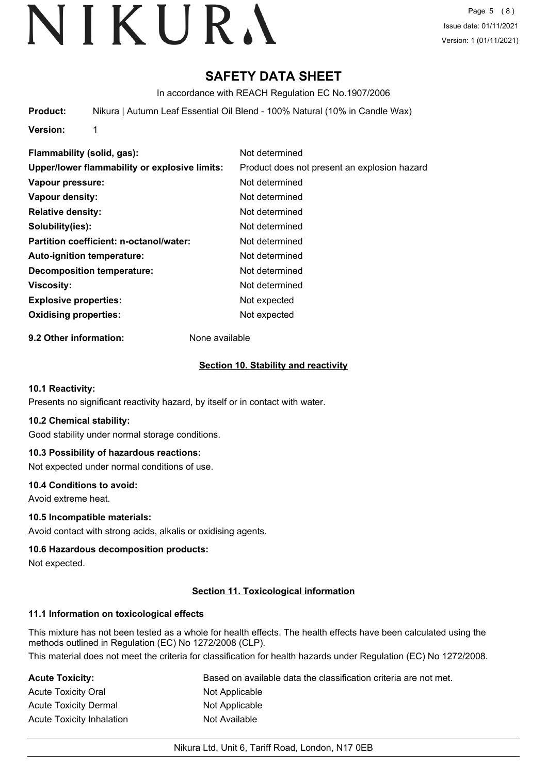# **SAFETY DATA SHEET**

In accordance with REACH Regulation EC No.1907/2006

**Product:** Nikura | Autumn Leaf Essential Oil Blend - 100% Natural (10% in Candle Wax)

**Version:** 1

**Flammability (solid, gas):** Not determined **Upper/lower flammability or explosive limits:** Product does not present an explosion hazard **Vapour pressure:** Not determined **Vapour density:** Not determined **Relative density:** Not determined **Solubility(ies):** Not determined **Partition coefficient: n-octanol/water:** Not determined **Auto-ignition temperature:** Not determined **Decomposition temperature:** Not determined **Viscosity:** Not determined **Explosive properties:** Not expected **Oxidising properties:** Not expected

**9.2 Other information:** None available

#### **Section 10. Stability and reactivity**

#### **10.1 Reactivity:**

Presents no significant reactivity hazard, by itself or in contact with water.

#### **10.2 Chemical stability:**

Good stability under normal storage conditions.

## **10.3 Possibility of hazardous reactions:**

Not expected under normal conditions of use.

#### **10.4 Conditions to avoid:**

Avoid extreme heat.

#### **10.5 Incompatible materials:**

Avoid contact with strong acids, alkalis or oxidising agents.

#### **10.6 Hazardous decomposition products:**

Not expected.

#### **Section 11. Toxicological information**

## **11.1 Information on toxicological effects**

This mixture has not been tested as a whole for health effects. The health effects have been calculated using the methods outlined in Regulation (EC) No 1272/2008 (CLP).

This material does not meet the criteria for classification for health hazards under Regulation (EC) No 1272/2008.

| Acute Toxicity:           | Based on available data the classification criteria are not met. |
|---------------------------|------------------------------------------------------------------|
| Acute Toxicity Oral       | Not Applicable                                                   |
| Acute Toxicity Dermal     | Not Applicable                                                   |
| Acute Toxicity Inhalation | Not Available                                                    |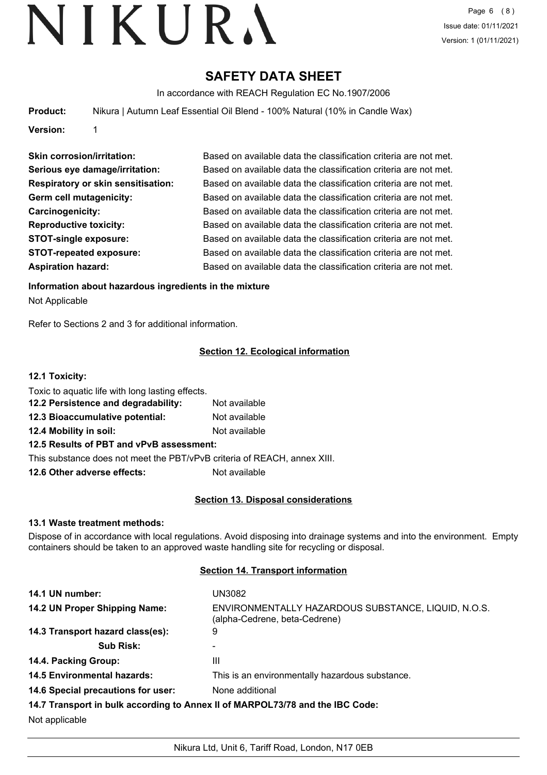# **SAFETY DATA SHEET**

In accordance with REACH Regulation EC No.1907/2006

**Product:** Nikura | Autumn Leaf Essential Oil Blend - 100% Natural (10% in Candle Wax)

**Version:** 1

| <b>Skin corrosion/irritation:</b>         | Based on available data the classification criteria are not met. |
|-------------------------------------------|------------------------------------------------------------------|
| Serious eye damage/irritation:            | Based on available data the classification criteria are not met. |
| <b>Respiratory or skin sensitisation:</b> | Based on available data the classification criteria are not met. |
| Germ cell mutagenicity:                   | Based on available data the classification criteria are not met. |
| Carcinogenicity:                          | Based on available data the classification criteria are not met. |
| <b>Reproductive toxicity:</b>             | Based on available data the classification criteria are not met. |
| <b>STOT-single exposure:</b>              | Based on available data the classification criteria are not met. |
| <b>STOT-repeated exposure:</b>            | Based on available data the classification criteria are not met. |
| <b>Aspiration hazard:</b>                 | Based on available data the classification criteria are not met. |

**Information about hazardous ingredients in the mixture**

Not Applicable

Refer to Sections 2 and 3 for additional information.

## **Section 12. Ecological information**

#### **12.1 Toxicity:**

| Toxic to aquatic life with long lasting effects.                         |               |  |
|--------------------------------------------------------------------------|---------------|--|
| 12.2 Persistence and degradability:                                      | Not available |  |
| 12.3 Bioaccumulative potential:                                          | Not available |  |
| 12.4 Mobility in soil:                                                   | Not available |  |
| 12.5 Results of PBT and vPvB assessment:                                 |               |  |
| This substance does not meet the PBT/vPvB criteria of REACH, annex XIII. |               |  |

**12.6 Other adverse effects:** Not available

## **Section 13. Disposal considerations**

## **13.1 Waste treatment methods:**

Dispose of in accordance with local regulations. Avoid disposing into drainage systems and into the environment. Empty containers should be taken to an approved waste handling site for recycling or disposal.

## **Section 14. Transport information**

| 14.1 UN number:                    | UN3082                                                                               |
|------------------------------------|--------------------------------------------------------------------------------------|
| 14.2 UN Proper Shipping Name:      | ENVIRONMENTALLY HAZARDOUS SUBSTANCE, LIQUID, N.O.S.<br>(alpha-Cedrene, beta-Cedrene) |
| 14.3 Transport hazard class(es):   | 9                                                                                    |
| <b>Sub Risk:</b>                   |                                                                                      |
| 14.4. Packing Group:               | Ш                                                                                    |
| <b>14.5 Environmental hazards:</b> | This is an environmentally hazardous substance.                                      |
| 14.6 Special precautions for user: | None additional                                                                      |
|                                    | 14.7 Transport in bulk according to Annex II of MARPOL73/78 and the IBC Code:        |
| Not applicable                     |                                                                                      |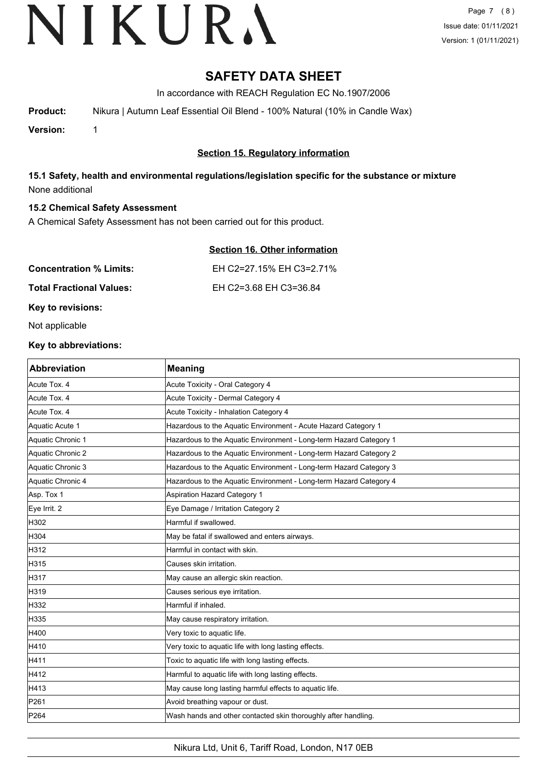## **SAFETY DATA SHEET**

In accordance with REACH Regulation EC No.1907/2006

**Product:** Nikura | Autumn Leaf Essential Oil Blend - 100% Natural (10% in Candle Wax)

**Version:** 1

## **Section 15. Regulatory information**

**15.1 Safety, health and environmental regulations/legislation specific for the substance or mixture** None additional

#### **15.2 Chemical Safety Assessment**

A Chemical Safety Assessment has not been carried out for this product.

|--|

**Concentration % Limits:** EH C2=27.15% EH C3=2.71%

**Total Fractional Values:** EH C2=3.68 EH C3=36.84

**Key to revisions:**

Not applicable

#### **Key to abbreviations:**

| <b>Abbreviation</b> | <b>Meaning</b>                                                     |
|---------------------|--------------------------------------------------------------------|
| Acute Tox. 4        | Acute Toxicity - Oral Category 4                                   |
| Acute Tox. 4        | Acute Toxicity - Dermal Category 4                                 |
| Acute Tox. 4        | Acute Toxicity - Inhalation Category 4                             |
| Aquatic Acute 1     | Hazardous to the Aquatic Environment - Acute Hazard Category 1     |
| Aquatic Chronic 1   | Hazardous to the Aquatic Environment - Long-term Hazard Category 1 |
| Aquatic Chronic 2   | Hazardous to the Aquatic Environment - Long-term Hazard Category 2 |
| Aquatic Chronic 3   | Hazardous to the Aquatic Environment - Long-term Hazard Category 3 |
| Aquatic Chronic 4   | Hazardous to the Aquatic Environment - Long-term Hazard Category 4 |
| Asp. Tox 1          | <b>Aspiration Hazard Category 1</b>                                |
| Eye Irrit. 2        | Eye Damage / Irritation Category 2                                 |
| H302                | Harmful if swallowed.                                              |
| H304                | May be fatal if swallowed and enters airways.                      |
| H312                | Harmful in contact with skin.                                      |
| H315                | Causes skin irritation.                                            |
| H317                | May cause an allergic skin reaction.                               |
| H319                | Causes serious eye irritation.                                     |
| H332                | Harmful if inhaled.                                                |
| H335                | May cause respiratory irritation.                                  |
| H400                | Very toxic to aquatic life.                                        |
| H410                | Very toxic to aquatic life with long lasting effects.              |
| H411                | Toxic to aquatic life with long lasting effects.                   |
| H412                | Harmful to aquatic life with long lasting effects.                 |
| H413                | May cause long lasting harmful effects to aquatic life.            |
| P261                | Avoid breathing vapour or dust.                                    |
| P <sub>264</sub>    | Wash hands and other contacted skin thoroughly after handling.     |